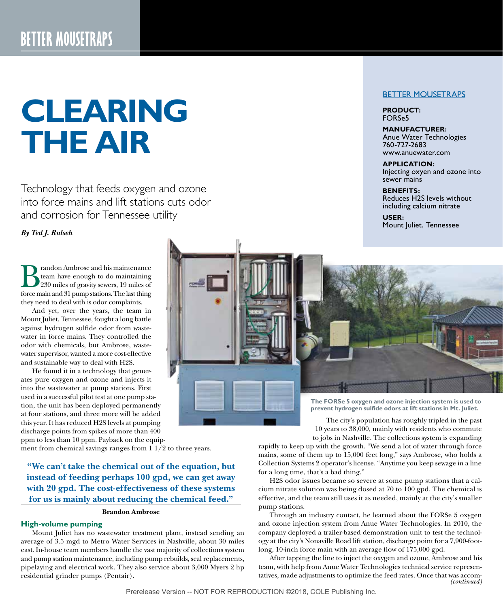# **CLEARING THE AIR**

Technology that feeds oxygen and ozone into force mains and lift stations cuts odor and corrosion for Tennessee utility

# *By Ted J. Rulseh*

randon Ambrose and his maintenance team have enough to do maintaining 230 miles of gravity sewers, 19 miles of force main and 31 pump stations. The last thing they need to deal with is odor complaints.

And yet, over the years, the team in Mount Juliet, Tennessee, fought a long battle against hydrogen sulfide odor from wastewater in force mains. They controlled the odor with chemicals, but Ambrose, wastewater supervisor, wanted a more cost-effective and sustainable way to deal with H2S.

He found it in a technology that generates pure oxygen and ozone and injects it into the wastewater at pump stations. First used in a successful pilot test at one pump station, the unit has been deployed permanently at four stations, and three more will be added this year. It has reduced H2S levels at pumping discharge points from spikes of more than 400 ppm to less than 10 ppm. Payback on the equip-

ment from chemical savings ranges from 1 1/2 to three years.

**"We can't take the chemical out of the equation, but instead of feeding perhaps 100 gpd, we can get away with 20 gpd. The cost-effectiveness of these systems for us is mainly about reducing the chemical feed."**

#### **Brandon Ambrose**

## **High-volume pumping**

Mount Juliet has no wastewater treatment plant, instead sending an average of 3.5 mgd to Metro Water Services in Nashville, about 30 miles east. In-house team members handle the vast majority of collections system and pump station maintenance, including pump rebuilds, seal replacements, pipelaying and electrical work. They also service about 3,000 Myers 2 hp residential grinder pumps (Pentair).

## BETTER MOUSETRAPS

**PRODUCT:**  FORSe5

#### **MANUFACTURER:**

Anue Water Technologies 760-727-2683 www.anuewater.com

**APPLICATION:** Injecting oxyen and ozone into sewer mains

#### **BENEFITS:**

Reduces H2S levels without including calcium nitrate

**USER:**  Mount Juliet, Tennessee



10 years to 38,000, mainly with residents who commute to jobs in Nashville. The collections system is expanding

rapidly to keep up with the growth. "We send a lot of water through force mains, some of them up to 15,000 feet long," says Ambrose, who holds a Collection Systems 2 operator's license. "Anytime you keep sewage in a line for a long time, that's a bad thing."

H2S odor issues became so severe at some pump stations that a calcium nitrate solution was being dosed at 70 to 100 gpd. The chemical is effective, and the team still uses it as needed, mainly at the city's smaller pump stations.

Through an industry contact, he learned about the FORSe 5 oxygen and ozone injection system from Anue Water Technologies. In 2010, the company deployed a trailer-based demonstration unit to test the technology at the city's Nonaville Road lift station, discharge point for a 7,900-footlong, 10-inch force main with an average flow of 175,000 gpd.

After tapping the line to inject the oxygen and ozone, Ambrose and his team, with help from Anue Water Technologies technical service representatives, made adjustments to optimize the feed rates. Once that was accom-*(continued)*